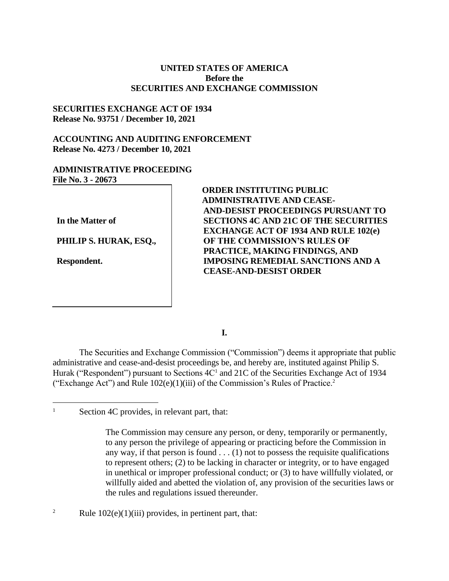# **UNITED STATES OF AMERICA Before the SECURITIES AND EXCHANGE COMMISSION**

# **SECURITIES EXCHANGE ACT OF 1934 Release No. 93751 / December 10, 2021**

# **ACCOUNTING AND AUDITING ENFORCEMENT Release No. 4273 / December 10, 2021**

# **ADMINISTRATIVE PROCEEDING File No. 3 - 20673**

**In the Matter of**

**PHILIP S. HURAK, ESQ.,**

**Respondent.**

 $\overline{a}$ 

**ORDER INSTITUTING PUBLIC ADMINISTRATIVE AND CEASE-AND-DESIST PROCEEDINGS PURSUANT TO SECTIONS 4C AND 21C OF THE SECURITIES EXCHANGE ACT OF 1934 AND RULE 102(e) OF THE COMMISSION'S RULES OF PRACTICE, MAKING FINDINGS, AND IMPOSING REMEDIAL SANCTIONS AND A CEASE-AND-DESIST ORDER**

**I.**

The Securities and Exchange Commission ("Commission") deems it appropriate that public administrative and cease-and-desist proceedings be, and hereby are, instituted against Philip S. Hurak ("Respondent") pursuant to Sections 4C<sup>1</sup> and 21C of the Securities Exchange Act of 1934 ("Exchange Act") and Rule  $102(e)(1)(iii)$  of the Commission's Rules of Practice.<sup>2</sup>

<sup>2</sup> Rule  $102(e)(1)(iii)$  provides, in pertinent part, that:

<sup>&</sup>lt;sup>1</sup> Section 4C provides, in relevant part, that:

The Commission may censure any person, or deny, temporarily or permanently, to any person the privilege of appearing or practicing before the Commission in any way, if that person is found  $\dots$  (1) not to possess the requisite qualifications to represent others; (2) to be lacking in character or integrity, or to have engaged in unethical or improper professional conduct; or (3) to have willfully violated, or willfully aided and abetted the violation of, any provision of the securities laws or the rules and regulations issued thereunder.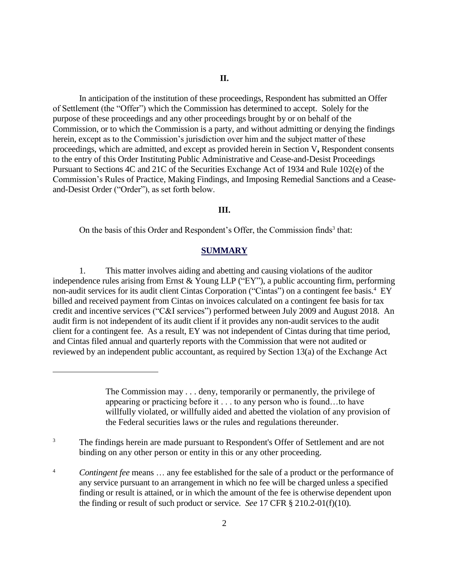In anticipation of the institution of these proceedings, Respondent has submitted an Offer of Settlement (the "Offer") which the Commission has determined to accept. Solely for the purpose of these proceedings and any other proceedings brought by or on behalf of the Commission, or to which the Commission is a party, and without admitting or denying the findings herein, except as to the Commission's jurisdiction over him and the subject matter of these proceedings, which are admitted, and except as provided herein in Section V**,** Respondent consents to the entry of this Order Instituting Public Administrative and Cease-and-Desist Proceedings Pursuant to Sections 4C and 21C of the Securities Exchange Act of 1934 and Rule 102(e) of the Commission's Rules of Practice, Making Findings, and Imposing Remedial Sanctions and a Ceaseand-Desist Order ("Order"), as set forth below.

### **III.**

On the basis of this Order and Respondent's Offer, the Commission finds<sup>3</sup> that:

## **SUMMARY**

1. This matter involves aiding and abetting and causing violations of the auditor independence rules arising from Ernst & Young LLP ("EY"), a public accounting firm, performing non-audit services for its audit client Cintas Corporation ("Cintas") on a contingent fee basis. 4 EY billed and received payment from Cintas on invoices calculated on a contingent fee basis for tax credit and incentive services ("C&I services") performed between July 2009 and August 2018. An audit firm is not independent of its audit client if it provides any non-audit services to the audit client for a contingent fee. As a result, EY was not independent of Cintas during that time period, and Cintas filed annual and quarterly reports with the Commission that were not audited or reviewed by an independent public accountant, as required by Section 13(a) of the Exchange Act

 $\overline{a}$ 

The Commission may . . . deny, temporarily or permanently, the privilege of appearing or practicing before it . . . to any person who is found…to have willfully violated, or willfully aided and abetted the violation of any provision of the Federal securities laws or the rules and regulations thereunder.

<sup>3</sup> The findings herein are made pursuant to Respondent's Offer of Settlement and are not binding on any other person or entity in this or any other proceeding.

<sup>&</sup>lt;sup>4</sup> *Contingent fee* means ... any fee established for the sale of a product or the performance of any service pursuant to an arrangement in which no fee will be charged unless a specified finding or result is attained, or in which the amount of the fee is otherwise dependent upon the finding or result of such product or service. *See* 17 CFR § 210.2-01(f)(10).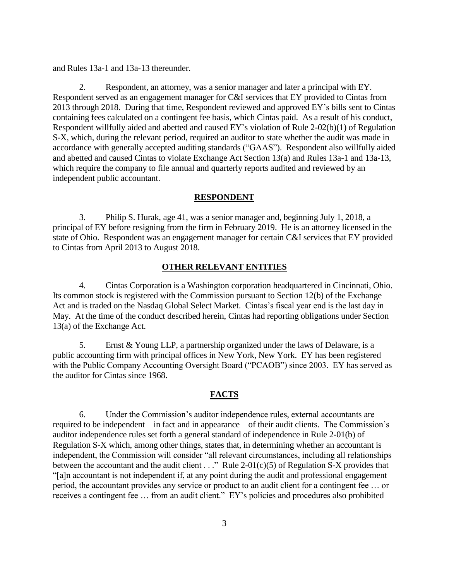and Rules 13a-1 and 13a-13 thereunder.

2. Respondent, an attorney, was a senior manager and later a principal with EY. Respondent served as an engagement manager for C&I services that EY provided to Cintas from 2013 through 2018. During that time, Respondent reviewed and approved EY's bills sent to Cintas containing fees calculated on a contingent fee basis, which Cintas paid. As a result of his conduct, Respondent willfully aided and abetted and caused EY's violation of Rule 2-02(b)(1) of Regulation S-X, which, during the relevant period, required an auditor to state whether the audit was made in accordance with generally accepted auditing standards ("GAAS"). Respondent also willfully aided and abetted and caused Cintas to violate Exchange Act Section 13(a) and Rules 13a-1 and 13a-13, which require the company to file annual and quarterly reports audited and reviewed by an independent public accountant.

#### **RESPONDENT**

3. Philip S. Hurak, age 41, was a senior manager and, beginning July 1, 2018, a principal of EY before resigning from the firm in February 2019. He is an attorney licensed in the state of Ohio. Respondent was an engagement manager for certain C&I services that EY provided to Cintas from April 2013 to August 2018.

#### **OTHER RELEVANT ENTITIES**

4. Cintas Corporation is a Washington corporation headquartered in Cincinnati, Ohio. Its common stock is registered with the Commission pursuant to Section 12(b) of the Exchange Act and is traded on the Nasdaq Global Select Market. Cintas's fiscal year end is the last day in May. At the time of the conduct described herein, Cintas had reporting obligations under Section 13(a) of the Exchange Act.

5. Ernst & Young LLP, a partnership organized under the laws of Delaware, is a public accounting firm with principal offices in New York, New York. EY has been registered with the Public Company Accounting Oversight Board ("PCAOB") since 2003. EY has served as the auditor for Cintas since 1968.

## **FACTS**

6. Under the Commission's auditor independence rules, external accountants are required to be independent—in fact and in appearance—of their audit clients. The Commission's auditor independence rules set forth a general standard of independence in Rule 2-01(b) of Regulation S-X which, among other things, states that, in determining whether an accountant is independent, the Commission will consider "all relevant circumstances, including all relationships between the accountant and the audit client  $\dots$ " Rule 2-01(c)(5) of Regulation S-X provides that "[a]n accountant is not independent if, at any point during the audit and professional engagement period, the accountant provides any service or product to an audit client for a contingent fee … or receives a contingent fee … from an audit client." EY's policies and procedures also prohibited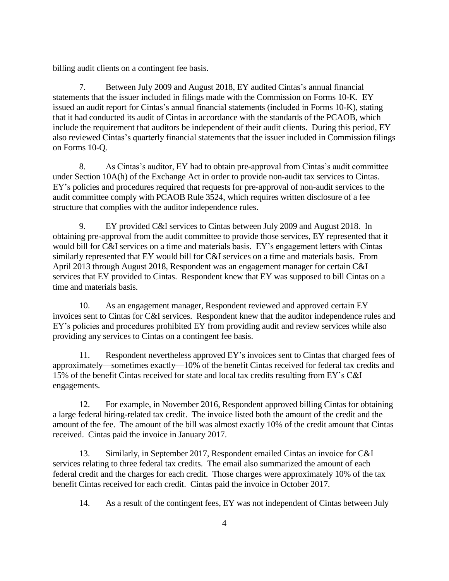billing audit clients on a contingent fee basis.

7. Between July 2009 and August 2018, EY audited Cintas's annual financial statements that the issuer included in filings made with the Commission on Forms 10-K. EY issued an audit report for Cintas's annual financial statements (included in Forms 10-K), stating that it had conducted its audit of Cintas in accordance with the standards of the PCAOB, which include the requirement that auditors be independent of their audit clients. During this period, EY also reviewed Cintas's quarterly financial statements that the issuer included in Commission filings on Forms 10-Q.

8. As Cintas's auditor, EY had to obtain pre-approval from Cintas's audit committee under Section 10A(h) of the Exchange Act in order to provide non-audit tax services to Cintas. EY's policies and procedures required that requests for pre-approval of non-audit services to the audit committee comply with PCAOB Rule 3524, which requires written disclosure of a fee structure that complies with the auditor independence rules.

9. EY provided C&I services to Cintas between July 2009 and August 2018. In obtaining pre-approval from the audit committee to provide those services, EY represented that it would bill for C&I services on a time and materials basis. EY's engagement letters with Cintas similarly represented that EY would bill for C&I services on a time and materials basis. From April 2013 through August 2018, Respondent was an engagement manager for certain C&I services that EY provided to Cintas. Respondent knew that EY was supposed to bill Cintas on a time and materials basis.

10. As an engagement manager, Respondent reviewed and approved certain EY invoices sent to Cintas for C&I services. Respondent knew that the auditor independence rules and EY's policies and procedures prohibited EY from providing audit and review services while also providing any services to Cintas on a contingent fee basis.

11. Respondent nevertheless approved EY's invoices sent to Cintas that charged fees of approximately—sometimes exactly—10% of the benefit Cintas received for federal tax credits and 15% of the benefit Cintas received for state and local tax credits resulting from EY's C&I engagements.

12. For example, in November 2016, Respondent approved billing Cintas for obtaining a large federal hiring-related tax credit. The invoice listed both the amount of the credit and the amount of the fee. The amount of the bill was almost exactly 10% of the credit amount that Cintas received. Cintas paid the invoice in January 2017.

13. Similarly, in September 2017, Respondent emailed Cintas an invoice for C&I services relating to three federal tax credits. The email also summarized the amount of each federal credit and the charges for each credit. Those charges were approximately 10% of the tax benefit Cintas received for each credit. Cintas paid the invoice in October 2017.

14. As a result of the contingent fees, EY was not independent of Cintas between July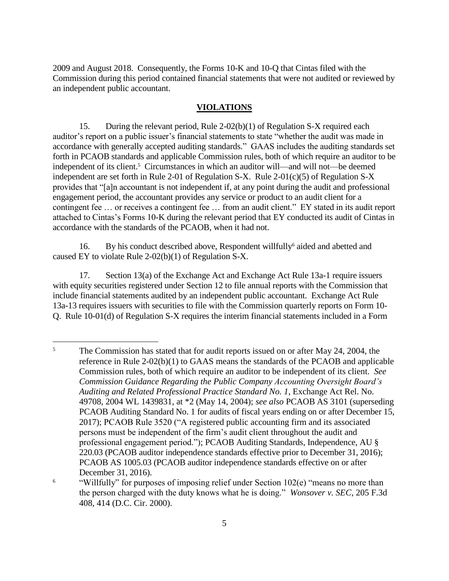2009 and August 2018. Consequently, the Forms 10-K and 10-Q that Cintas filed with the Commission during this period contained financial statements that were not audited or reviewed by an independent public accountant.

### **VIOLATIONS**

15. During the relevant period, Rule 2-02(b)(1) of Regulation S-X required each auditor's report on a public issuer's financial statements to state "whether the audit was made in accordance with generally accepted auditing standards." GAAS includes the auditing standards set forth in PCAOB standards and applicable Commission rules, both of which require an auditor to be independent of its client.<sup>5</sup> Circumstances in which an auditor will—and will not—be deemed independent are set forth in Rule 2-01 of Regulation S-X. Rule 2-01 $(c)(5)$  of Regulation S-X provides that "[a]n accountant is not independent if, at any point during the audit and professional engagement period, the accountant provides any service or product to an audit client for a contingent fee … or receives a contingent fee … from an audit client." EY stated in its audit report attached to Cintas's Forms 10-K during the relevant period that EY conducted its audit of Cintas in accordance with the standards of the PCAOB, when it had not.

16. By his conduct described above, Respondent willfully<sup>6</sup> aided and abetted and caused EY to violate Rule 2-02(b)(1) of Regulation S-X.

17. Section 13(a) of the Exchange Act and Exchange Act Rule 13a-1 require issuers with equity securities registered under Section 12 to file annual reports with the Commission that include financial statements audited by an independent public accountant. Exchange Act Rule 13a-13 requires issuers with securities to file with the Commission quarterly reports on Form 10- Q. Rule 10-01(d) of Regulation S-X requires the interim financial statements included in a Form

 $\overline{a}$ 

<sup>&</sup>lt;sup>5</sup> The Commission has stated that for audit reports issued on or after May 24, 2004, the reference in Rule 2-02(b)(1) to GAAS means the standards of the PCAOB and applicable Commission rules, both of which require an auditor to be independent of its client. *See Commission Guidance Regarding the Public Company Accounting Oversight Board's Auditing and Related Professional Practice Standard No. 1*, Exchange Act Rel. No. 49708, 2004 WL 1439831, at \*2 (May 14, 2004); *see also* PCAOB AS 3101 (superseding PCAOB Auditing Standard No. 1 for audits of fiscal years ending on or after December 15, 2017); PCAOB Rule 3520 ("A registered public accounting firm and its associated persons must be independent of the firm's audit client throughout the audit and professional engagement period."); PCAOB Auditing Standards, Independence, AU § 220.03 (PCAOB auditor independence standards effective prior to December 31, 2016); PCAOB AS 1005.03 (PCAOB auditor independence standards effective on or after December 31, 2016).

<sup>&</sup>lt;sup>6</sup> "Willfully" for purposes of imposing relief under Section 102(e) "means no more than the person charged with the duty knows what he is doing." *Wonsover v. SEC*, 205 F.3d 408, 414 (D.C. Cir. 2000).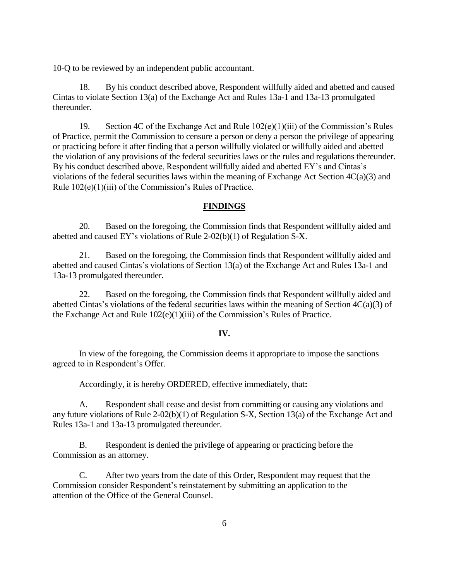10-Q to be reviewed by an independent public accountant.

18. By his conduct described above, Respondent willfully aided and abetted and caused Cintas to violate Section 13(a) of the Exchange Act and Rules 13a-1 and 13a-13 promulgated thereunder.

19. Section 4C of the Exchange Act and Rule 102(e)(1)(iii) of the Commission's Rules of Practice, permit the Commission to censure a person or deny a person the privilege of appearing or practicing before it after finding that a person willfully violated or willfully aided and abetted the violation of any provisions of the federal securities laws or the rules and regulations thereunder. By his conduct described above, Respondent willfully aided and abetted EY's and Cintas's violations of the federal securities laws within the meaning of Exchange Act Section  $4C(a)(3)$  and Rule 102(e)(1)(iii) of the Commission's Rules of Practice.

## **FINDINGS**

20. Based on the foregoing, the Commission finds that Respondent willfully aided and abetted and caused EY's violations of Rule 2-02(b)(1) of Regulation S-X.

21. Based on the foregoing, the Commission finds that Respondent willfully aided and abetted and caused Cintas's violations of Section 13(a) of the Exchange Act and Rules 13a-1 and 13a-13 promulgated thereunder.

22. Based on the foregoing, the Commission finds that Respondent willfully aided and abetted Cintas's violations of the federal securities laws within the meaning of Section 4C(a)(3) of the Exchange Act and Rule 102(e)(1)(iii) of the Commission's Rules of Practice.

#### **IV.**

In view of the foregoing, the Commission deems it appropriate to impose the sanctions agreed to in Respondent's Offer.

Accordingly, it is hereby ORDERED, effective immediately, that**:**

A. Respondent shall cease and desist from committing or causing any violations and any future violations of Rule 2-02(b)(1) of Regulation S-X, Section 13(a) of the Exchange Act and Rules 13a-1 and 13a-13 promulgated thereunder.

B. Respondent is denied the privilege of appearing or practicing before the Commission as an attorney.

C. After two years from the date of this Order, Respondent may request that the Commission consider Respondent's reinstatement by submitting an application to the attention of the Office of the General Counsel.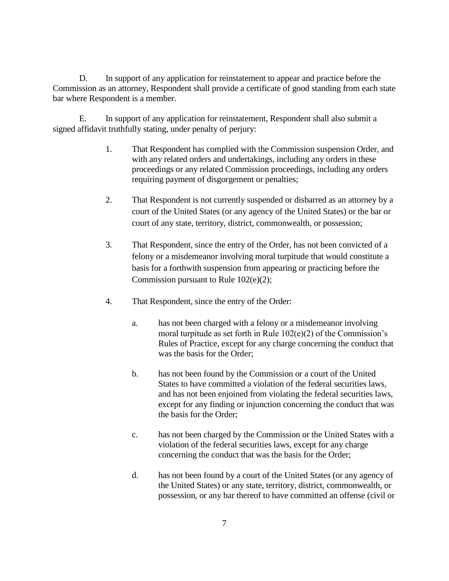D. In support of any application for reinstatement to appear and practice before the Commission as an attorney, Respondent shall provide a certificate of good standing from each state bar where Respondent is a member.

E. In support of any application for reinstatement, Respondent shall also submit a signed affidavit truthfully stating, under penalty of perjury:

- 1. That Respondent has complied with the Commission suspension Order, and with any related orders and undertakings, including any orders in these proceedings or any related Commission proceedings, including any orders requiring payment of disgorgement or penalties;
- 2. That Respondent is not currently suspended or disbarred as an attorney by a court of the United States (or any agency of the United States) or the bar or court of any state, territory, district, commonwealth, or possession;
- 3. That Respondent, since the entry of the Order, has not been convicted of a felony or a misdemeanor involving moral turpitude that would constitute a basis for a forthwith suspension from appearing or practicing before the Commission pursuant to Rule 102(e)(2);
- 4. That Respondent, since the entry of the Order:
	- a. has not been charged with a felony or a misdemeanor involving moral turpitude as set forth in Rule  $102(e)(2)$  of the Commission's Rules of Practice, except for any charge concerning the conduct that was the basis for the Order;
	- b. has not been found by the Commission or a court of the United States to have committed a violation of the federal securities laws, and has not been enjoined from violating the federal securities laws, except for any finding or injunction concerning the conduct that was the basis for the Order;
	- c. has not been charged by the Commission or the United States with a violation of the federal securities laws, except for any charge concerning the conduct that was the basis for the Order;
	- d. has not been found by a court of the United States (or any agency of the United States) or any state, territory, district, commonwealth, or possession, or any bar thereof to have committed an offense (civil or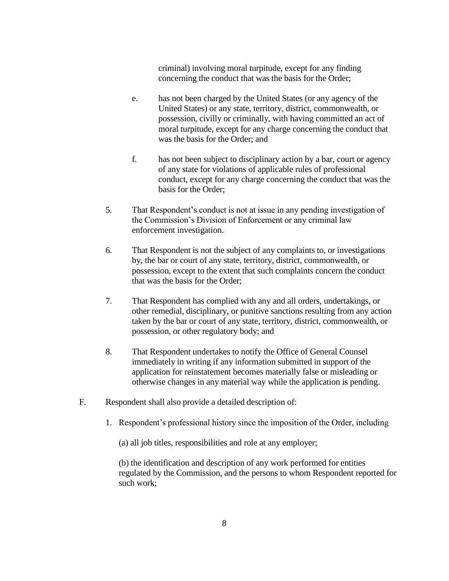criminal) involving moral turpitude, except for any finding concerning the conduct that was the basis for the Order;

- e. has not been charged by the United States (or any agency of the United States) or any state, territory, district, commonwealth, or possession, civilly or criminally, with having committed an act of moral turpitude, except for any charge concerning the conduct that was the basis for the Order; and
- f. has not been subject to disciplinary action by a bar, court or agency of any state for violations of applicable rules of professional conduct, except for any charge concerning the conduct that was the basis for the Order;
- 5. That Respondent's conduct is not at issue in any pending investigation of the Commission's Division of Enforcement or any criminal law enforcement investigation.
- 6. That Respondent is not the subject of any complaints to, or investigations by, the bar or court of any state, territory, district, commonwealth, or possession, except to the extent that such complaints concern the conduct that was the basis for the Order;
- 7. That Respondent has complied with any and all orders, undertakings, or other remedial, disciplinary, or punitive sanctions resulting from any action taken by the bar or court of any state, territory, district, commonwealth, or possession, or other regulatory body; and
- 8. That Respondent undertakes to notify the Office of General Counsel immediately in writing if any information submitted in support of the application for reinstatement becomes materially false or misleading or otherwise changes in any material way while the application is pending.
- F. Respondent shall also provide a detailed description of:
	- 1. Respondent's professional history since the imposition of the Order, including

(a) all job titles, responsibilities and role at any employer;

(b) the identification and description of any work performed for entities regulated by the Commission, and the persons to whom Respondent reported for such work;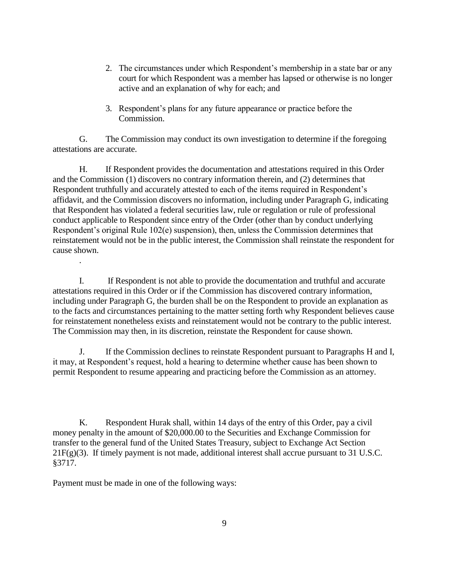- 2. The circumstances under which Respondent's membership in a state bar or any court for which Respondent was a member has lapsed or otherwise is no longer active and an explanation of why for each; and
- 3. Respondent's plans for any future appearance or practice before the Commission.

G. The Commission may conduct its own investigation to determine if the foregoing attestations are accurate.

H. If Respondent provides the documentation and attestations required in this Order and the Commission (1) discovers no contrary information therein, and (2) determines that Respondent truthfully and accurately attested to each of the items required in Respondent's affidavit, and the Commission discovers no information, including under Paragraph G, indicating that Respondent has violated a federal securities law, rule or regulation or rule of professional conduct applicable to Respondent since entry of the Order (other than by conduct underlying Respondent's original Rule 102(e) suspension), then, unless the Commission determines that reinstatement would not be in the public interest, the Commission shall reinstate the respondent for cause shown.

I. If Respondent is not able to provide the documentation and truthful and accurate attestations required in this Order or if the Commission has discovered contrary information, including under Paragraph G, the burden shall be on the Respondent to provide an explanation as to the facts and circumstances pertaining to the matter setting forth why Respondent believes cause for reinstatement nonetheless exists and reinstatement would not be contrary to the public interest. The Commission may then, in its discretion, reinstate the Respondent for cause shown.

J. If the Commission declines to reinstate Respondent pursuant to Paragraphs H and I, it may, at Respondent's request, hold a hearing to determine whether cause has been shown to permit Respondent to resume appearing and practicing before the Commission as an attorney.

K. Respondent Hurak shall, within 14 days of the entry of this Order, pay a civil money penalty in the amount of \$20,000.00 to the Securities and Exchange Commission for transfer to the general fund of the United States Treasury, subject to Exchange Act Section  $21F(g)(3)$ . If timely payment is not made, additional interest shall accrue pursuant to 31 U.S.C. §3717.

Payment must be made in one of the following ways:

.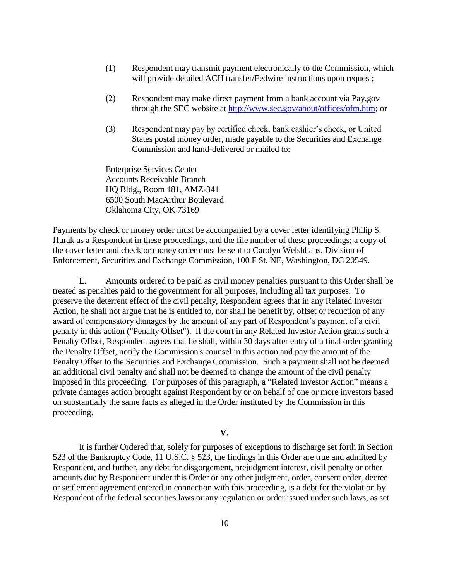- (1) Respondent may transmit payment electronically to the Commission, which will provide detailed ACH transfer/Fedwire instructions upon request;
- (2) Respondent may make direct payment from a bank account via Pay.gov through the SEC website at [http://www.sec.gov/about/offices/ofm.htm;](http://www.sec.gov/about/offices/ofm.htm) or
- (3) Respondent may pay by certified check, bank cashier's check, or United States postal money order, made payable to the Securities and Exchange Commission and hand-delivered or mailed to:

Enterprise Services Center Accounts Receivable Branch HQ Bldg., Room 181, AMZ-341 6500 South MacArthur Boulevard Oklahoma City, OK 73169

Payments by check or money order must be accompanied by a cover letter identifying Philip S. Hurak as a Respondent in these proceedings, and the file number of these proceedings; a copy of the cover letter and check or money order must be sent to Carolyn Welshhans, Division of Enforcement, Securities and Exchange Commission, 100 F St. NE, Washington, DC 20549.

L. Amounts ordered to be paid as civil money penalties pursuant to this Order shall be treated as penalties paid to the government for all purposes, including all tax purposes. To preserve the deterrent effect of the civil penalty, Respondent agrees that in any Related Investor Action, he shall not argue that he is entitled to, nor shall he benefit by, offset or reduction of any award of compensatory damages by the amount of any part of Respondent's payment of a civil penalty in this action ("Penalty Offset"). If the court in any Related Investor Action grants such a Penalty Offset, Respondent agrees that he shall, within 30 days after entry of a final order granting the Penalty Offset, notify the Commission's counsel in this action and pay the amount of the Penalty Offset to the Securities and Exchange Commission. Such a payment shall not be deemed an additional civil penalty and shall not be deemed to change the amount of the civil penalty imposed in this proceeding. For purposes of this paragraph, a "Related Investor Action" means a private damages action brought against Respondent by or on behalf of one or more investors based on substantially the same facts as alleged in the Order instituted by the Commission in this proceeding.

## **V.**

It is further Ordered that, solely for purposes of exceptions to discharge set forth in Section 523 of the Bankruptcy Code, 11 U.S.C. § 523, the findings in this Order are true and admitted by Respondent, and further, any debt for disgorgement, prejudgment interest, civil penalty or other amounts due by Respondent under this Order or any other judgment, order, consent order, decree or settlement agreement entered in connection with this proceeding, is a debt for the violation by Respondent of the federal securities laws or any regulation or order issued under such laws, as set